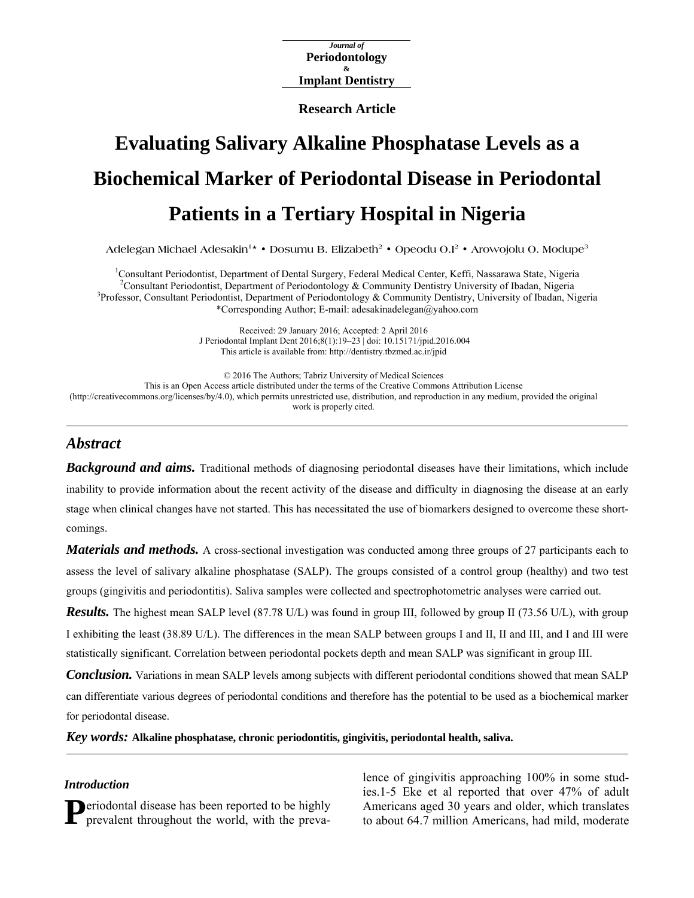*Journal of*  **Periodontology Implant Dentistry &** 

**Research Article**

# **Evaluating Salivary Alkaline Phosphatase Levels as a Biochemical Marker of Periodontal Disease in Periodontal Patients in a Tertiary Hospital in Nigeria**

Adelegan Michael Adesakin<sup>1\*</sup> • Dosumu B. Elizabeth<sup>2</sup> • Opeodu O.I<sup>2</sup> • Arowojolu O. Modupe<sup>3</sup>

<sup>1</sup>Consultant Periodontist, Department of Dental Surgery, Federal Medical Center, Keffi, Nassarawa State, Nigeria <sup>2</sup>Consultant Periodontist, Department of Periodontal or & Community Deptietry University of Ibeden, Nigeria <sup>2</sup> Consultant Periodontist, Department of Periodontology & Community Dentistry University of Ibadan, Nigeria <sup>3</sup>Professor, Consultant Periodontist, Department of Periodontology & Community Dentistry, University of Ibadan, Nigeria \*Corresponding Author; E-mail: adesakinadelegan@yahoo.com

> Received: 29 January 2016; Accepted: 2 April 2016 J Periodontal Implant Dent 2016;8(1):19–23 | [doi: 10.15171/jpid.2016.004](http://dx.doi.org/10.15171/jpid.2016.004)  This article is available from: <http://dentistry.tbzmed.ac.ir/jpid>

© 2016 The Authors; Tabriz University of Medical Sciences This is an Open Access article distributed under the terms of the Creative Commons Attribution License [\(http://creativecommons.org/licenses/by/4.0](http://creativecommons.org/licenses/by/4.0)), which permits unrestricted use, distribution, and reproduction in any medium, provided the original work is properly cited.

# *Abstract*

*Background and aims.* Traditional methods of diagnosing periodontal diseases have their limitations, which include inability to provide information about the recent activity of the disease and difficulty in diagnosing the disease at an early stage when clinical changes have not started. This has necessitated the use of biomarkers designed to overcome these shortcomings.

*Materials and methods.* A cross-sectional investigation was conducted among three groups of 27 participants each to assess the level of salivary alkaline phosphatase (SALP). The groups consisted of a control group (healthy) and two test groups (gingivitis and periodontitis). Saliva samples were collected and spectrophotometric analyses were carried out.

*Results.* The highest mean SALP level (87.78 U/L) was found in group III, followed by group II (73.56 U/L), with group I exhibiting the least (38.89 U/L). The differences in the mean SALP between groups I and II, II and III, and I and III were statistically significant. Correlation between periodontal pockets depth and mean SALP was significant in group III.

*Conclusion.* Variations in mean SALP levels among subjects with different periodontal conditions showed that mean SALP can differentiate various degrees of periodontal conditions and therefore has the potential to be used as a biochemical marker for periodontal disease.

*Key words:* **Alkaline phosphatase, chronic periodontitis, gingivitis, periodontal health, saliva.** 

#### *Introduction*

eriodontal disease has been reported to be highly

**Periodontal disease has been reported to be highly** Americans aged 30 years and older, which translates prevalent throughout the world, with the preva-<br>to about 64.7 million Americans, had mild, moderate lence of gingivitis approaching 100% in some studies.1-5 Eke et al reported that over 47% of adult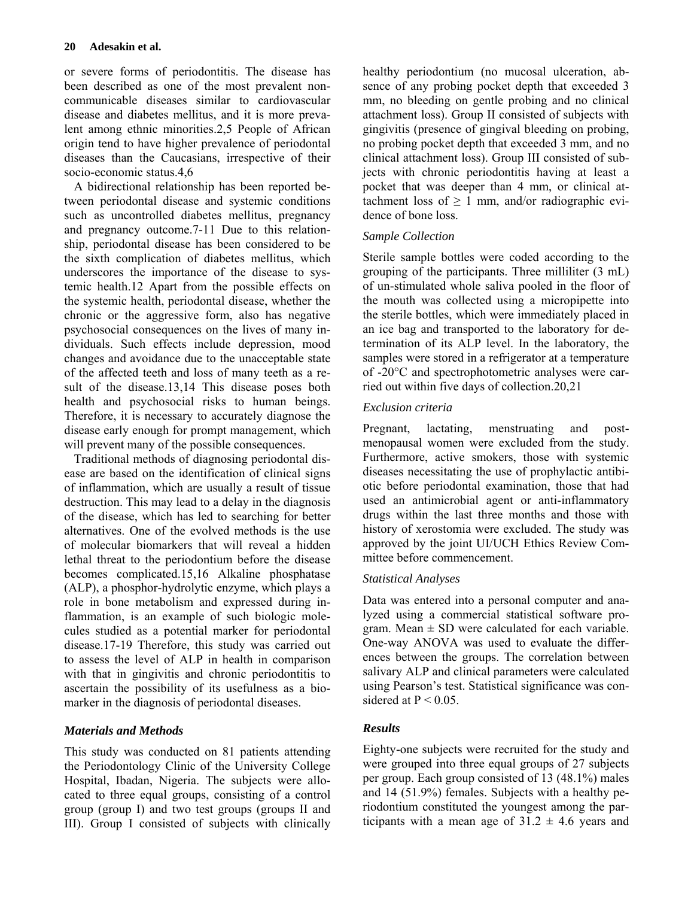or severe forms of periodontitis. The disease has been described as one of the most prevalent noncommunicable diseases similar to cardiovascular disease and diabetes mellitus, and it is more prevalent among ethnic minorities.2,5 People of African origin tend to have higher prevalence of periodontal diseases than the Caucasians, irrespective of their socio-economic status.4,6

A bidirectional relationship has been reported between periodontal disease and systemic conditions such as uncontrolled diabetes mellitus, pregnancy and pregnancy outcome.7-11 Due to this relationship, periodontal disease has been considered to be the sixth complication of diabetes mellitus, which underscores the importance of the disease to systemic health.12 Apart from the possible effects on the systemic health, periodontal disease, whether the chronic or the aggressive form, also has negative psychosocial consequences on the lives of many individuals. Such effects include depression, mood changes and avoidance due to the unacceptable state of the affected teeth and loss of many teeth as a result of the disease.13,14 This disease poses both health and psychosocial risks to human beings. Therefore, it is necessary to accurately diagnose the disease early enough for prompt management, which will prevent many of the possible consequences.

Traditional methods of diagnosing periodontal disease are based on the identification of clinical signs of inflammation, which are usually a result of tissue destruction. This may lead to a delay in the diagnosis of the disease, which has led to searching for better alternatives. One of the evolved methods is the use of molecular biomarkers that will reveal a hidden lethal threat to the periodontium before the disease becomes complicated.15,16 Alkaline phosphatase (ALP), a phosphor-hydrolytic enzyme, which plays a role in bone metabolism and expressed during inflammation, is an example of such biologic molecules studied as a potential marker for periodontal disease.17-19 Therefore, this study was carried out to assess the level of ALP in health in comparison with that in gingivitis and chronic periodontitis to ascertain the possibility of its usefulness as a biomarker in the diagnosis of periodontal diseases.

# *Materials and Methods*

This study was conducted on 81 patients attending the Periodontology Clinic of the University College Hospital, Ibadan, Nigeria. The subjects were allocated to three equal groups, consisting of a control group (group I) and two test groups (groups II and III). Group I consisted of subjects with clinically

healthy periodontium (no mucosal ulceration, absence of any probing pocket depth that exceeded 3 mm, no bleeding on gentle probing and no clinical attachment loss). Group II consisted of subjects with gingivitis (presence of gingival bleeding on probing, no probing pocket depth that exceeded 3 mm, and no clinical attachment loss). Group III consisted of subjects with chronic periodontitis having at least a pocket that was deeper than 4 mm, or clinical attachment loss of  $\geq 1$  mm, and/or radiographic evidence of bone loss.

# *Sample Collection*

Sterile sample bottles were coded according to the grouping of the participants. Three milliliter (3 mL) of un-stimulated whole saliva pooled in the floor of the mouth was collected using a micropipette into the sterile bottles, which were immediately placed in an ice bag and transported to the laboratory for determination of its ALP level. In the laboratory, the samples were stored in a refrigerator at a temperature of -20°C and spectrophotometric analyses were carried out within five days of collection.20,21

# *Exclusion criteria*

Pregnant, lactating, menstruating and postmenopausal women were excluded from the study. Furthermore, active smokers, those with systemic diseases necessitating the use of prophylactic antibiotic before periodontal examination, those that had used an antimicrobial agent or anti-inflammatory drugs within the last three months and those with history of xerostomia were excluded. The study was approved by the joint UI/UCH Ethics Review Committee before commencement.

## *Statistical Analyses*

Data was entered into a personal computer and analyzed using a commercial statistical software program. Mean  $\pm$  SD were calculated for each variable. One-way ANOVA was used to evaluate the differences between the groups. The correlation between salivary ALP and clinical parameters were calculated using Pearson's test. Statistical significance was considered at  $P \le 0.05$ .

# *Results*

Eighty-one subjects were recruited for the study and were grouped into three equal groups of 27 subjects per group. Each group consisted of 13 (48.1%) males and 14 (51.9%) females. Subjects with a healthy periodontium constituted the youngest among the participants with a mean age of  $31.2 \pm 4.6$  years and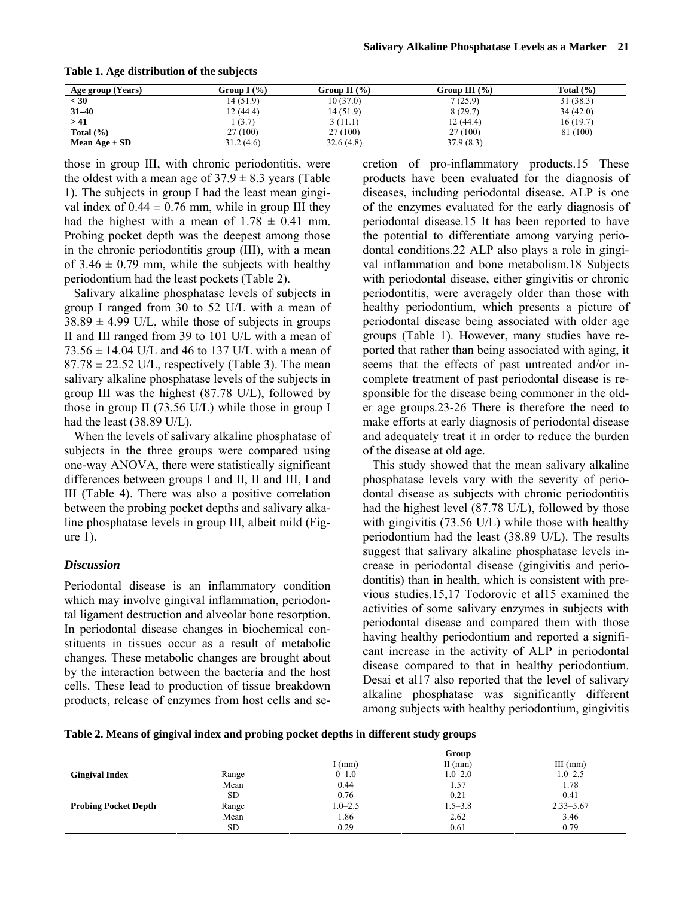| (Years)<br>Age group | Group I $(\% )$ | Group II $(\% )$ | Group III $(% )$ | Total $(\% )$ |
|----------------------|-----------------|------------------|------------------|---------------|
| $<$ 30               | 14(51.9)        | 10(37.0)         | 7(25.9)          | 31(38.3)      |
| $31 - 40$            | 12(44.4)        | 14 (51.9)        | 8(29.7)          | 34(42.0)      |
| > 41                 | 1(3.7)          | 3(11.1)          | 12(44.4)         | 16(19.7)      |
| Total $(\% )$        | 27 (100)        | 27 (100)         | 27 (100)         | 81 (100)      |
| Mean Age $\pm$ SD    | 31.2(4.6)       | 32.6(4.8)        | 37.9(8.3)        |               |

**Table 1. Age distribution of the subjects** 

those in group III, with chronic periodontitis, were the oldest with a mean age of  $37.9 \pm 8.3$  years (Table 1). The subjects in group I had the least mean gingival index of  $0.44 \pm 0.76$  mm, while in group III they had the highest with a mean of  $1.78 \pm 0.41$  mm. Probing pocket depth was the deepest among those in the chronic periodontitis group (III), with a mean of  $3.46 \pm 0.79$  mm, while the subjects with healthy periodontium had the least pockets (Table 2).

Salivary alkaline phosphatase levels of subjects in group I ranged from 30 to 52 U/L with a mean of  $38.89 \pm 4.99$  U/L, while those of subjects in groups II and III ranged from 39 to 101 U/L with a mean of  $73.56 \pm 14.04$  U/L and 46 to 137 U/L with a mean of  $87.78 \pm 22.52$  U/L, respectively (Table 3). The mean salivary alkaline phosphatase levels of the subjects in group III was the highest (87.78 U/L), followed by those in group II (73.56 U/L) while those in group I had the least (38.89 U/L).

When the levels of salivary alkaline phosphatase of subjects in the three groups were compared using one-way ANOVA, there were statistically significant differences between groups I and II, II and III, I and III (Table 4). There was also a positive correlation between the probing pocket depths and salivary alkaline phosphatase levels in group III, albeit mild (Figure 1).

#### *Discussion*

Periodontal disease is an inflammatory condition which may involve gingival inflammation, periodontal ligament destruction and alveolar bone resorption. In periodontal disease changes in biochemical constituents in tissues occur as a result of metabolic changes. These metabolic changes are brought about by the interaction between the bacteria and the host cells. These lead to production of tissue breakdown products, release of enzymes from host cells and se-

cretion of pro-inflammatory products.15 These products have been evaluated for the diagnosis of diseases, including periodontal disease. ALP is one of the enzymes evaluated for the early diagnosis of periodontal disease.15 It has been reported to have the potential to differentiate among varying periodontal conditions.22 ALP also plays a role in gingival inflammation and bone metabolism.18 Subjects with periodontal disease, either gingivitis or chronic periodontitis, were averagely older than those with healthy periodontium, which presents a picture of periodontal disease being associated with older age groups (Table 1). However, many studies have reported that rather than being associated with aging, it seems that the effects of past untreated and/or incomplete treatment of past periodontal disease is responsible for the disease being commoner in the older age groups.23-26 There is therefore the need to make efforts at early diagnosis of periodontal disease and adequately treat it in order to reduce the burden of the disease at old age.

This study showed that the mean salivary alkaline phosphatase levels vary with the severity of periodontal disease as subjects with chronic periodontitis had the highest level (87.78 U/L), followed by those with gingivitis (73.56 U/L) while those with healthy periodontium had the least (38.89 U/L). The results suggest that salivary alkaline phosphatase levels increase in periodontal disease (gingivitis and periodontitis) than in health, which is consistent with previous studies.15,17 Todorovic et al15 examined the activities of some salivary enzymes in subjects with periodontal disease and compared them with those having healthy periodontium and reported a significant increase in the activity of ALP in periodontal disease compared to that in healthy periodontium. Desai et al17 also reported that the level of salivary alkaline phosphatase was significantly different among subjects with healthy periodontium, gingivitis

| Table 2. Means of gingival index and probing pocket depths in different study groups |  |  |  |
|--------------------------------------------------------------------------------------|--|--|--|
|                                                                                      |  |  |  |

|                             |       |             | Group       |               |
|-----------------------------|-------|-------------|-------------|---------------|
|                             |       | (mm)        | $II$ (mm)   | $III$ (mm)    |
| <b>Gingival Index</b>       | Range | $0 - 1.0$   | $1.0 - 2.0$ | $1.0 - 2.5$   |
|                             | Mean  | 0.44        | 1.57        | 1.78          |
|                             | SD.   | 0.76        | 0.21        | 0.41          |
| <b>Probing Pocket Depth</b> | Range | $1.0 - 2.5$ | $1.5 - 3.8$ | $2.33 - 5.67$ |
|                             | Mean  | 1.86        | 2.62        | 3.46          |
|                             | SD.   | 0.29        | 0.61        | 0.79          |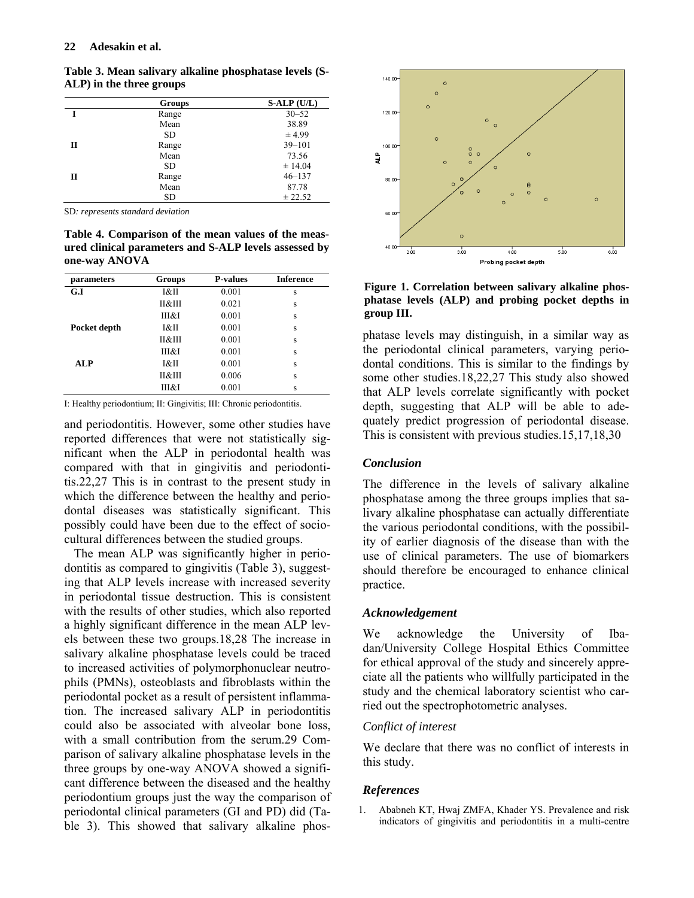|   | <b>Groups</b> | $S-ALP(U/L)$ |
|---|---------------|--------------|
|   | Range         | $30 - 52$    |
|   | Mean          | 38.89        |
|   | SD.           | ± 4.99       |
| П | Range         | $39 - 101$   |
|   | Mean          | 73.56        |
|   | SD.           | ± 14.04      |
| П | Range         | $46 - 137$   |
|   | Mean          | 87.78        |
|   | SD            | ± 22.52      |

**Table 3. Mean salivary alkaline phosphatase levels (S-ALP) in the three groups**

SD*: represents standard deviation* 

**Table 4. Comparison of the mean values of the measured clinical parameters and S-ALP levels assessed by one-way ANOVA** 

| parameters   | Groups | <b>P-values</b> | <b>Inference</b> |
|--------------|--------|-----------------|------------------|
| G.I          | I&II   | 0.001           | S                |
|              | П&Ш    | 0.021           | S                |
|              | Ш&І    | 0.001           | S                |
| Pocket depth | I&II   | 0.001           | S                |
|              | П&Ш    | 0.001           | S                |
|              | Ш&І    | 0.001           | S                |
| <b>ALP</b>   | I&II   | 0.001           | S                |
|              | П&Ш    | 0.006           | S                |
|              | Ш&І    | 0.001           | S                |

I: Healthy periodontium; II: Gingivitis; III: Chronic periodontitis.

and periodontitis. However, some other studies have reported differences that were not statistically significant when the ALP in periodontal health was compared with that in gingivitis and periodontitis.22,27 This is in contrast to the present study in which the difference between the healthy and periodontal diseases was statistically significant. This possibly could have been due to the effect of sociocultural differences between the studied groups.

The mean ALP was significantly higher in periodontitis as compared to gingivitis (Table 3), suggesting that ALP levels increase with increased severity in periodontal tissue destruction. This is consistent with the results of other studies, which also reported a highly significant difference in the mean ALP levels between these two groups.18,28 The increase in salivary alkaline phosphatase levels could be traced to increased activities of polymorphonuclear neutrophils (PMNs), osteoblasts and fibroblasts within the periodontal pocket as a result of persistent inflammation. The increased salivary ALP in periodontitis could also be associated with alveolar bone loss, with a small contribution from the serum.29 Comparison of salivary alkaline phosphatase levels in the three groups by one-way ANOVA showed a significant difference between the diseased and the healthy periodontium groups just the way the comparison of periodontal clinical parameters (GI and PD) did (Table 3). This showed that salivary alkaline phos-



**Figure 1. Correlation between salivary alkaline phosphatase levels (ALP) and probing pocket depths in group III.**

phatase levels may distinguish, in a similar way as the periodontal clinical parameters, varying periodontal conditions. This is similar to the findings by some other studies.18,22,27 This study also showed that ALP levels correlate significantly with pocket depth, suggesting that ALP will be able to adequately predict progression of periodontal disease. This is consistent with previous studies.15,17,18,30

## *Conclusion*

The difference in the levels of salivary alkaline phosphatase among the three groups implies that salivary alkaline phosphatase can actually differentiate the various periodontal conditions, with the possibility of earlier diagnosis of the disease than with the use of clinical parameters. The use of biomarkers should therefore be encouraged to enhance clinical practice.

#### *Acknowledgement*

We acknowledge the University of Ibadan/University College Hospital Ethics Committee for ethical approval of the study and sincerely appreciate all the patients who willfully participated in the study and the chemical laboratory scientist who carried out the spectrophotometric analyses.

## *Conflict of interest*

We declare that there was no conflict of interests in this study.

## *References*

1. Ababneh KT, Hwaj ZMFA, Khader YS. Prevalence and risk indicators of gingivitis and periodontitis in a multi-centre